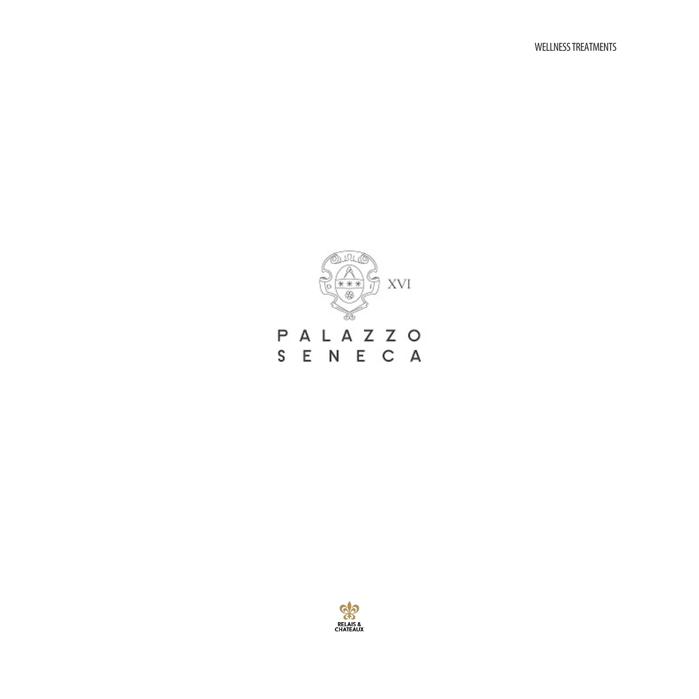

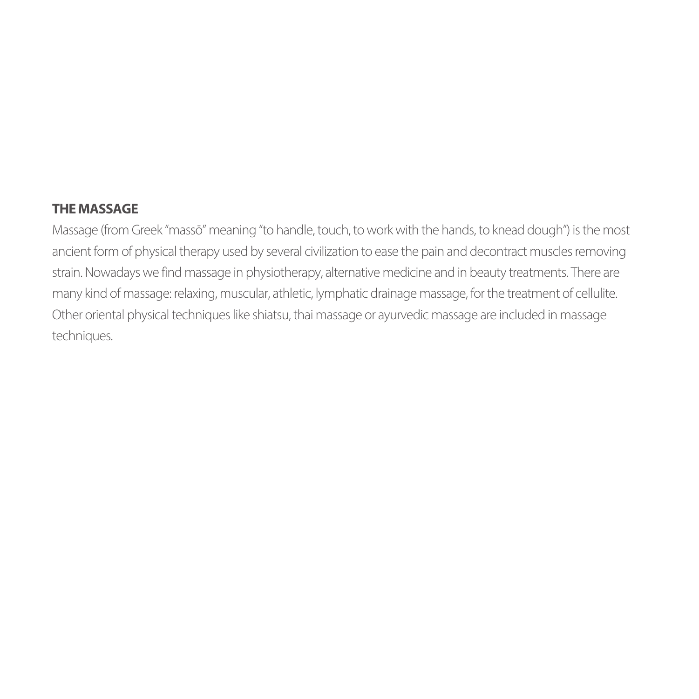#### **THE MASSAGE**

Massage (from Greek "massō" meaning "to handle, touch, to work with the hands, to knead dough") is the most ancient form of physical therapy used by several civilization to ease the pain and decontract muscles removing strain. Nowadays we find massage in physiotherapy, alternative medicine and in beauty treatments. There are many kind of massage: relaxing, muscular, athletic, lymphatic drainage massage, for the treatment of cellulite. Other oriental physical techniques like shiatsu, thai massage or ayurvedic massage are included in massage techniques.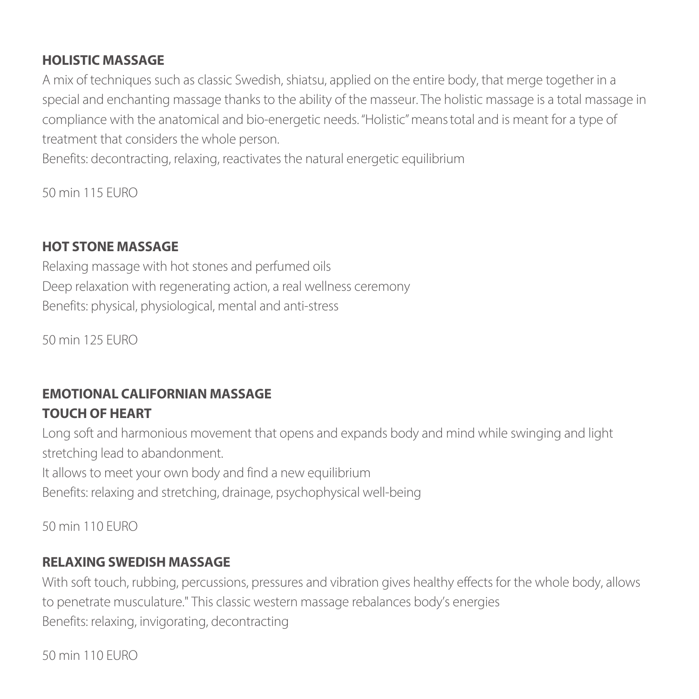#### **HOLISTIC MASSAGE**

A mix of techniques such as classic Swedish, shiatsu, applied on the entire body, that merge together in a special and enchanting massage thanks to the ability of the masseur. The holistic massage is a total massage in compliance with the anatomical and bio-energetic needs. "Holistic" means total and is meant for a type of treatment that considers the whole person.

Benefits: decontracting, relaxing, reactivates the natural energetic equilibrium

50 min 115 EURO

### **HOT STONE MASSAGE**

Relaxing massage with hot stones and perfumed oils Deep relaxation with regenerating action, a real wellness ceremony Benefits: physical, physiological, mental and anti-stress

50 min 125 EURO

## **EMOTIONAL CALIFORNIAN MASSAGE TOUCH OF HEART**

Long soft and harmonious movement that opens and expands body and mind while swinging and light stretching lead to abandonment.

It allows to meet your own body and find a new equilibrium

Benefits: relaxing and stretching, drainage, psychophysical well-being

50 min 110 EURO

#### **RELAXING SWEDISH MASSAGE**

With soft touch, rubbing, percussions, pressures and vibration gives healthy effects for the whole body, allows to penetrate musculature." This classic western massage rebalances body's energies Benefits: relaxing, invigorating, decontracting

50 min 110 EURO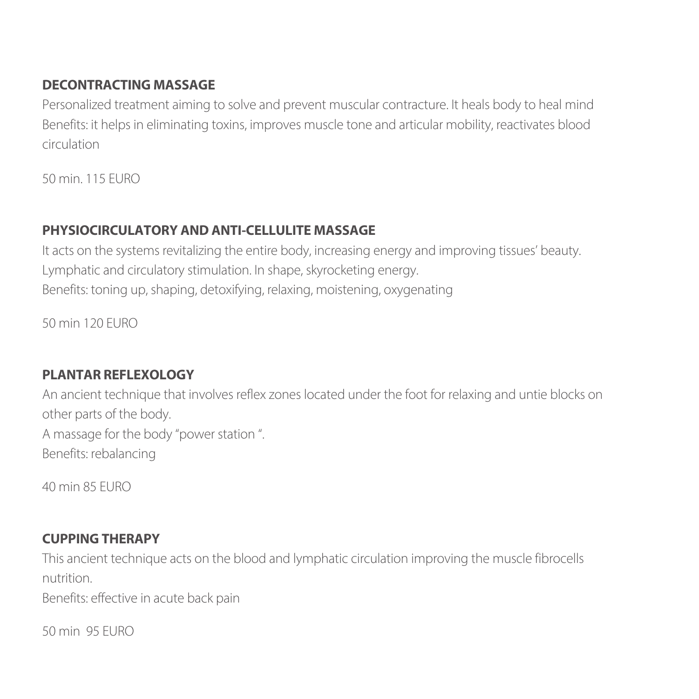### **DECONTRACTING MASSAGE**

Personalized treatment aiming to solve and prevent muscular contracture. It heals body to heal mind Benefits: it helps in eliminating toxins, improves muscle tone and articular mobility, reactivates blood circulation

50 min. 115 EURO

## **PHYSIOCIRCULATORY AND ANTI-CELLULITE MASSAGE**

It acts on the systems revitalizing the entire body, increasing energy and improving tissues' beauty. Lymphatic and circulatory stimulation. In shape, skyrocketing energy. Benefits: toning up, shaping, detoxifying, relaxing, moistening, oxygenating

50 min 120 EURO

## **PLANTAR REFLEXOLOGY**

An ancient technique that involves reflex zones located under the foot for relaxing and untie blocks on other parts of the body. A massage for the body "power station ". Benefits: rebalancing

40 min 85 EURO

# **CUPPING THERAPY**

This ancient technique acts on the blood and lymphatic circulation improving the muscle fibrocells nutrition.

Benefits: effective in acute back pain

50 min 95 EURO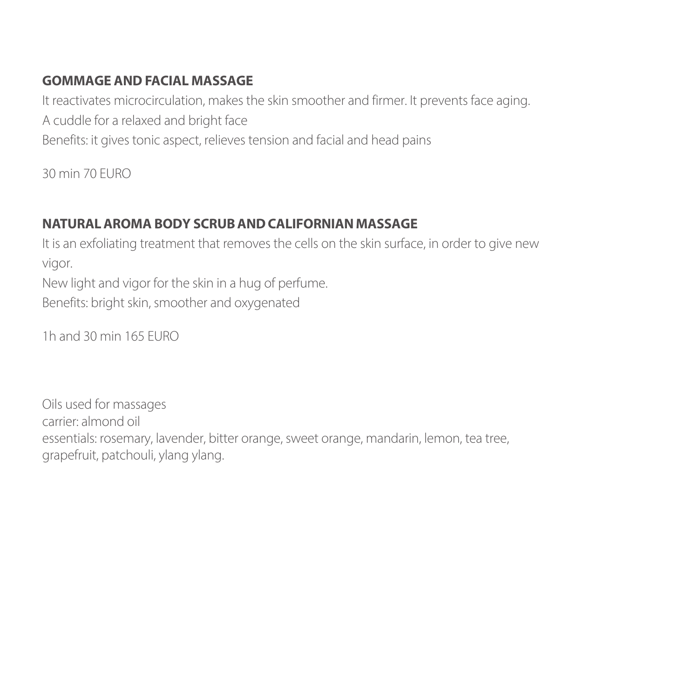#### **GOMMAGE AND FACIAL MASSAGE**

It reactivates microcirculation, makes the skin smoother and firmer. It prevents face aging. A cuddle for a relaxed and bright face Benefits: it gives tonic aspect, relieves tension and facial and head pains

30 min 70 EURO

## **NATURAL AROMA BODY SCRUB AND CALIFORNIAN MASSAGE**

It is an exfoliating treatment that removes the cells on the skin surface, in order to give new vigor.

New light and vigor for the skin in a hug of perfume. Benefits: bright skin, smoother and oxygenated

1h and 30 min 165 EURO

Oils used for massages carrier: almond oil essentials: rosemary, lavender, bitter orange, sweet orange, mandarin, lemon, tea tree, grapefruit, patchouli, ylang ylang.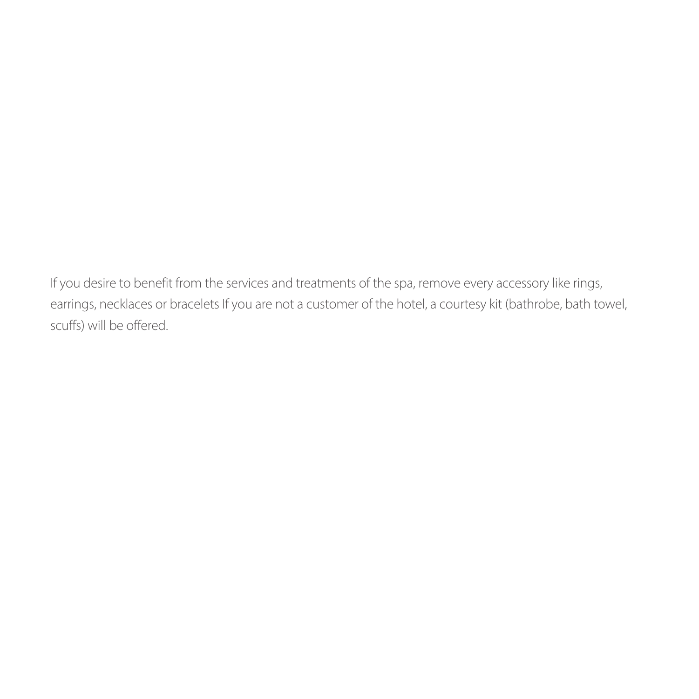If you desire to benefit from the services and treatments of the spa, remove every accessory like rings, earrings, necklaces or bracelets If you are not a customer of the hotel, a courtesy kit (bathrobe, bath towel, scuffs) will be offered.